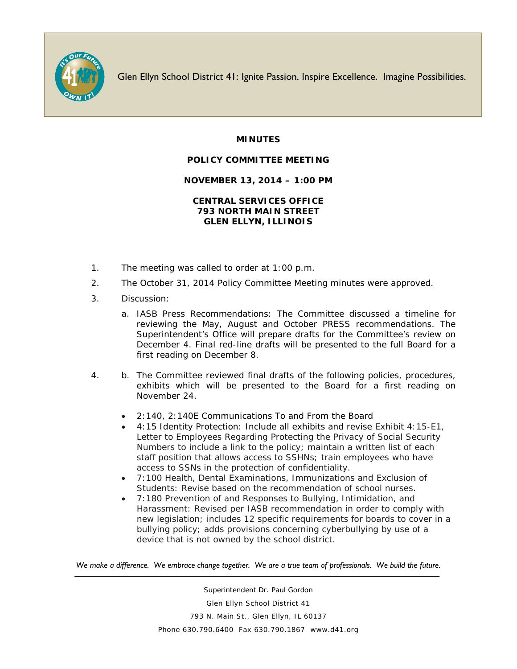

Glen Ellyn School District 41: Ignite Passion. Inspire Excellence. Imagine Possibilities.

## **MINUTES**

## **POLICY COMMITTEE MEETING**

## **NOVEMBER 13, 2014 – 1:00 PM**

## **CENTRAL SERVICES OFFICE 793 NORTH MAIN STREET GLEN ELLYN, ILLINOIS**

- 1. The meeting was called to order at 1:00 p.m.
- 2. The October 31, 2014 Policy Committee Meeting minutes were approved.
- 3. Discussion:
	- a. IASB Press Recommendations: The Committee discussed a timeline for reviewing the May, August and October PRESS recommendations. The Superintendent's Office will prepare drafts for the Committee's review on December 4. Final red-line drafts will be presented to the full Board for a first reading on December 8.
- 4. b. The Committee reviewed final drafts of the following policies, procedures, exhibits which will be presented to the Board for a first reading on November 24.
	- 2:140, 2:140E Communications To and From the Board
	- 4:15 Identity Protection: Include all exhibits and revise Exhibit 4:15-E1, Letter to Employees Regarding Protecting the Privacy of Social Security Numbers to include a link to the policy; maintain a written list of each staff position that allows access to SSHNs; train employees who have access to SSNs in the protection of confidentiality.
	- 7:100 Health, Dental Examinations, Immunizations and Exclusion of Students: Revise based on the recommendation of school nurses.
	- 7:180 Prevention of and Responses to Bullying, Intimidation, and Harassment: Revised per IASB recommendation in order to comply with new legislation; includes 12 specific requirements for boards to cover in a bullying policy; adds provisions concerning cyberbullying by use of a device that is not owned by the school district.

*We make a difference. We embrace change together. We are a true team of professionals. We build the future.*

Superintendent Dr. Paul Gordon Glen Ellyn School District 41 793 N. Main St., Glen Ellyn, IL 60137 Phone 630.790.6400 Fax 630.790.1867 www.d41.org